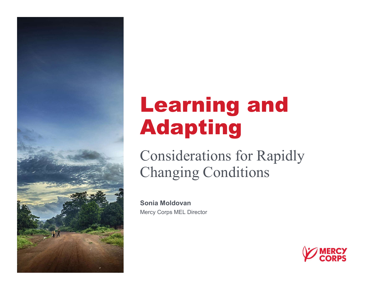

## Learning and Adapting

Considerations for Rapidly Changing Conditions

Sonia Moldovan Mercy Corps MEL Director

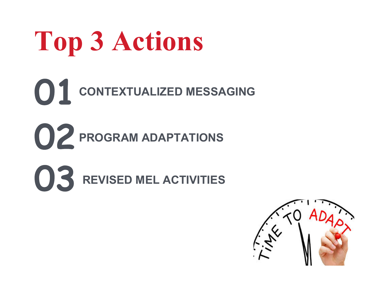## Top 3 Actions

- **O1** CONTEXTUALIZED MESSAGING
- **OZ** PROGRAM ADAPTATIONS
- **03** REVISED MEL ACTIVITIES

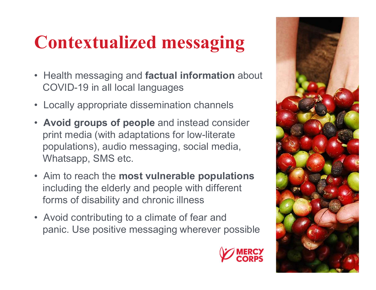## Contextualized messaging

- **Contextualized messaging<br>• Health messaging and factual information about<br>• Locally appropriate dissemination channels** COVID-19 in all local languages Contextualized messaging<br>• Health messaging and factual information about<br>• COVID-19 in all local languages<br>• Locally appropriate dissemination channels<br>• Avoid groups of people and instead consider<br>• print media (with ada
- 
- Avoid groups of people and instead consider print media (with adaptations for low-literate populations), audio messaging, social media, Whatsapp, SMS etc. • Health messaging and factual information about<br>
COVID-19 in all local languages<br>
• Locally appropriate dissemination channels<br>
• **Avoid groups of people** and instead consider<br>
print media (with adaptations for low-litera • Locally appropriate dissemination channels<br>
• **Avoid groups of people** and instead consider<br>
print media (with adaptations for low-literate<br>
populations), audio messaging, social media,<br>
Whatsapp, SMS etc.<br>
• Aim to reac
- including the elderly and people with different forms of disability and chronic illness
- 

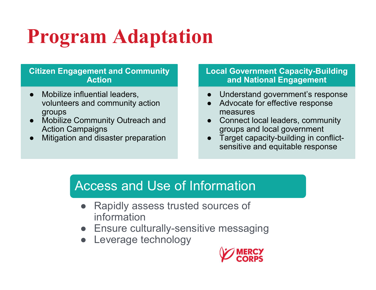# Program Adaptation **Program Adaptatic<br>
Citizen Engagement and Community<br>
Action<br>
• Mobilize influential leaders,<br>
volunteers and community action<br>
• Mobilize Community Outreach and Program Adaptation**<br>
Citizen Engagement and Community<br>
Action<br>
• Mobilize influential leaders,<br>
volunteers and community action<br>
groups<br>
• Mobilize Community Outreach and<br>
Action Campaigns<br>
• Mitigation and disaster prepa **Program Adaptation**<br>
Citizen Engagement and Community<br>
Action<br>
• Mobilize influential leaders,<br>
volunteers and community action<br>
groups<br>
• Mobilize Community Outreach and<br>
Action Campaigns<br>
• Mitigation and disaster prepa

#### Citizen Engagement and Community Action

- volunteers and community action groups
- Action Campaigns
- 

# Local Government Capacity-Building and National Engagement 1<br> **Discripted Government Capacity-Building<br>
and National Engagement<br>
● Understand government's response<br>
● Advocate for effective response<br>
■ Connect local leaders, community** 1<br> **Decate Government Capacity-Building<br>
and National Engagement<br>
● Understand government's response<br>
● Advocate for effective response<br>
measures<br>
● Connect local leaders, community<br>
groups and local government** 1<br>
Local Government Capacity-Building<br>
and National Engagement<br>
● Understand government's response<br>
● Advocate for effective response<br>
measures<br>
● Connect local leaders, community<br>
groups and local government<br>
● Target ca **Local Government Capacity-Building<br>
and National Engagement<br>
• Understand government's response<br>
• Advocate for effective response<br>
measures<br>
• Connect local leaders, community<br>
groups and local government<br>
• Target capac**

- 
- measures
- groups and local government
- sensitive and equitable response

#### Access and Use of Information

- Framed Community action<br>
and community action<br>
ommunity Outreach and<br>
praigns<br>
measures to connect local leader<br>
praigns<br>
and disaster preparation<br>
 Target capacity-build<br>
sensitive and equitat<br>
ACCESS and Use of Informa information  $\begin{tabular}{lllllllllll} \multicolumn{3}{l}{{\small \begin{tabular}{l}p{0.8cm}p{0.8cm}}}\quad & \text{measures} & \multicolumn{3}{l}{\small \begin{tabular}{l}p{0.8cm}p{0.8cm}}\quad & \text{seasures} & \multicolumn{3}{l}{\small \begin{tabular}{l}p{0.8cm}p{0.8cm}}\quad & \text{seasures} & \multicolumn{3}{l}{\small \begin{tabular}{l}p{0.8cm}p{0.8cm}}\quad & \text{seasures} & \multicolumn{3}{l}{\small \begin{tabular}{l}p{0.8cm}p{0.8cm}}$ ommunity Outreach and<br>
Inpaigns<br>
and disaster preparation<br>
• Target c<br>
sensitive<br>
• Rapidly assess trusted sources of<br>
information<br>
• Ensure culturally-sensitive messa<br>
• Leverage technology<br>
• Verage technology<br>
• Verage
- 
- 

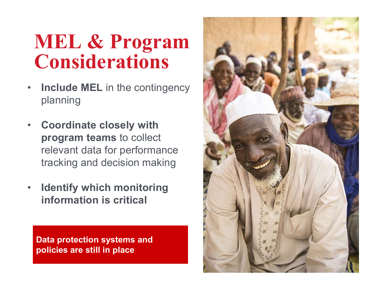### MEL & Program **Considerations**

- Include MEL in the contingency planning
- Coordinate closely with program teams to collect relevant data for performance tracking and decision making
- Identify which monitoring information is critical

Data protection systems and policies are still in place

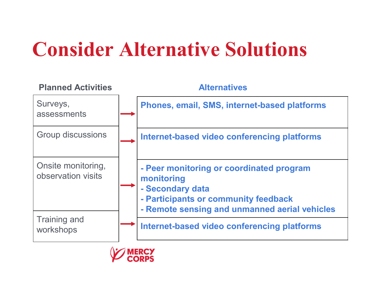## Consider Alternative Solutions